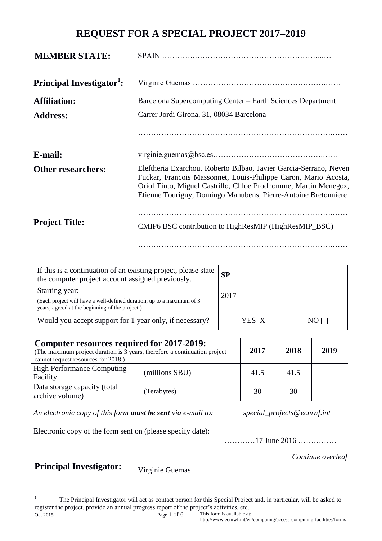### **REQUEST FOR A SPECIAL PROJECT 2017–2019**

| <b>MEMBER STATE:</b>                  |                                                                                                                                                                                                                                                                           |
|---------------------------------------|---------------------------------------------------------------------------------------------------------------------------------------------------------------------------------------------------------------------------------------------------------------------------|
| Principal Investigator <sup>1</sup> : |                                                                                                                                                                                                                                                                           |
| <b>Affiliation:</b>                   | Barcelona Supercomputing Center - Earth Sciences Department                                                                                                                                                                                                               |
| <b>Address:</b>                       | Carrer Jordi Girona, 31, 08034 Barcelona                                                                                                                                                                                                                                  |
|                                       |                                                                                                                                                                                                                                                                           |
| E-mail:                               |                                                                                                                                                                                                                                                                           |
| <b>Other researchers:</b>             | Eleftheria Exarchou, Roberto Bilbao, Javier Garcia-Serrano, Neven<br>Fuckar, Francois Massonnet, Louis-Philippe Caron, Mario Acosta,<br>Oriol Tinto, Miguel Castrillo, Chloe Prodhomme, Martin Menegoz,<br>Etienne Tourigny, Domingo Manubens, Pierre-Antoine Bretonniere |
| <b>Project Title:</b>                 | CMIP6 BSC contribution to HighResMIP (HighResMIP_BSC)                                                                                                                                                                                                                     |

………………………………………………………………….……

| If this is a continuation of an existing project, please state<br>the computer project account assigned previously.                        | SP    |       |
|--------------------------------------------------------------------------------------------------------------------------------------------|-------|-------|
| Starting year:<br>(Each project will have a well-defined duration, up to a maximum of 3<br>years, agreed at the beginning of the project.) | 2017  |       |
| Would you accept support for 1 year only, if necessary?                                                                                    | YES X | $N()$ |

| <b>Computer resources required for 2017-2019:</b><br>(The maximum project duration is 3 years, therefore a continuation project)<br>cannot request resources for 2018.) | 2017           | 2018 | 2019 |  |
|-------------------------------------------------------------------------------------------------------------------------------------------------------------------------|----------------|------|------|--|
| <b>High Performance Computing</b><br>Facility                                                                                                                           | (millions SBU) | 41.5 | 41.5 |  |
| Data storage capacity (total<br>archive volume)                                                                                                                         | (Terabytes)    | 30   | 30   |  |

*An electronic copy of this form must be sent via e-mail to: special\_projects@ecmwf.int*

Electronic copy of the form sent on (please specify date):

…………17 June 2016 ……………

*Continue overleaf*

# **Principal Investigator:** Virginie Guemas

Oct 2015 Page 1 of 6  $\bar{1}$ <sup>1</sup> The Principal Investigator will act as contact person for this Special Project and, in particular, will be asked to register the project, provide an annual progress report of the project's activities, etc.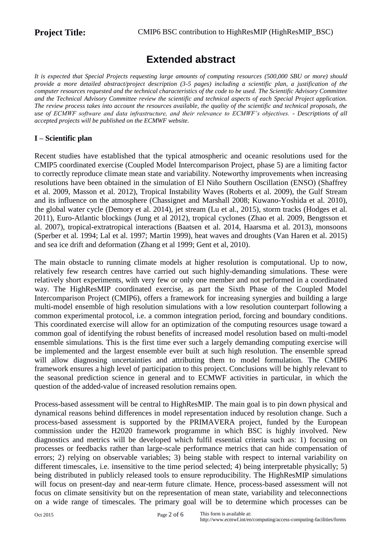# **Extended abstract**

*It is expected that Special Projects requesting large amounts of computing resources (500,000 SBU or more) should provide a more detailed abstract/project description (3-5 pages) including a scientific plan, a justification of the computer resources requested and the technical characteristics of the code to be used. The Scientific Advisory Committee and the Technical Advisory Committee review the scientific and technical aspects of each Special Project application. The review process takes into account the resources available, the quality of the scientific and technical proposals, the use of ECMWF software and data infrastructure, and their relevance to ECMWF's objectives. - Descriptions of all accepted projects will be published on the ECMWF website.*

#### **I – Scientific plan**

Recent studies have established that the typical atmospheric and oceanic resolutions used for the CMIP5 coordinated exercise (Coupled Model Intercomparison Project, phase 5) are a limiting factor to correctly reproduce climate mean state and variability. Noteworthy improvements when increasing resolutions have been obtained in the simulation of El Niño Southern Oscillation (ENSO) (Shaffrey et al. 2009, Masson et al. 2012), Tropical Instability Waves (Roberts et al. 2009), the Gulf Stream and its influence on the atmosphere (Chassignet and Marshall 2008; Kuwano-Yoshida et al. 2010), the global water cycle (Demory et al. 2014), jet stream (Lu et al., 2015), storm tracks (Hodges et al. 2011), Euro-Atlantic blockings (Jung et al 2012), tropical cyclones (Zhao et al. 2009, Bengtsson et al. 2007), tropical-extratropical interactions (Baatsen et al. 2014, Haarsma et al. 2013), monsoons (Sperber et al. 1994; Lal et al. 1997; Martin 1999), heat waves and droughts (Van Haren et al. 2015) and sea ice drift and deformation (Zhang et al 1999; Gent et al, 2010).

The main obstacle to running climate models at higher resolution is computational. Up to now, relatively few research centres have carried out such highly-demanding simulations. These were relatively short experiments, with very few or only one member and not performed in a coordinated way. The HighResMIP coordinated exercise, as part the Sixth Phase of the Coupled Model Intercomparison Project (CMIP6), offers a framework for increasing synergies and building a large multi-model ensemble of high resolution simulations with a low resolution counterpart following a common experimental protocol, i.e. a common integration period, forcing and boundary conditions. This coordinated exercise will allow for an optimization of the computing resources usage toward a common goal of identifying the robust benefits of increased model resolution based on multi-model ensemble simulations. This is the first time ever such a largely demanding computing exercise will be implemented and the largest ensemble ever built at such high resolution. The ensemble spread will allow diagnosing uncertainties and attributing them to model formulation. The CMIP6 framework ensures a high level of participation to this project. Conclusions will be highly relevant to the seasonal prediction science in general and to ECMWF activities in particular, in which the question of the added-value of increased resolution remains open.

Process-based assessment will be central to HighResMIP. The main goal is to pin down physical and dynamical reasons behind differences in model representation induced by resolution change. Such a process-based assessment is supported by the PRIMAVERA project, funded by the European commission under the H2020 framework programme in which BSC is highly involved. New diagnostics and metrics will be developed which fulfil essential criteria such as: 1) focusing on processes or feedbacks rather than large-scale performance metrics that can hide compensation of errors; 2) relying on observable variables; 3) being stable with respect to internal variability on different timescales, i.e. insensitive to the time period selected; 4) being interpretable physically; 5) being distributed in publicly released tools to ensure reproducibility. The HighResMIP simulations will focus on present-day and near-term future climate. Hence, process-based assessment will not focus on climate sensitivity but on the representation of mean state, variability and teleconnections on a wide range of timescales. The primary goal will be to determine which processes can be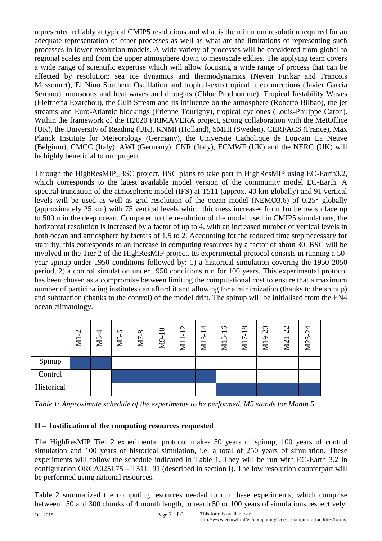represented reliably at typical CMIP5 resolutions and what is the minimum resolution required for an adequate representation of other processes as well as what are the limitations of representing such processes in lower resolution models. A wide variety of processes will be considered from global to regional scales and from the upper atmosphere down to mesoscale eddies. The applying team covers a wide range of scientific expertise which will allow focusing a wide range of process that can be affected by resolution: sea ice dynamics and thermodynamics (Neven Fuckar and Francois Massonnet), El Nino Southern Oscillation and tropical-extratropical teleconnections (Javier Garcia Serrano), monsoons and heat waves and droughts (Chloe Prodhomme), Tropical Instability Waves (Eleftheria Exarchou), the Gulf Stream and its influence on the atmosphere (Roberto Bilbao), the jet streams and Euro-Atlantic blockings (Etienne Tourigny), tropical cyclones (Louis-Philippe Caron). Within the framework of the H2020 PRIMAVERA project, strong collaboration with the MetOffice (UK), the University of Reading (UK), KNMI (Holland), SMHI (Sweden), CERFACS (France), Max Planck Institute for Meteorology (Germany), the Universite Catholique de Louvain La Neuve (Belgium), CMCC (Italy), AWI (Germany), CNR (Italy), ECMWF (UK) and the NERC (UK) will be highly beneficial to our project.

Through the HighResMIP\_BSC project, BSC plans to take part in HighResMIP using EC-Earth3.2, which corresponds to the latest available model version of the community model EC-Earth. A spectral truncation of the atmospheric model (IFS) at T511 (approx. 40 km globally) and 91 vertical levels will be used as well as grid resolution of the ocean model (NEMO3.6) of 0.25° globally (approximately 25 km) with 75 vertical levels which thickness increases from 1m below surface up to 500m in the deep ocean. Compared to the resolution of the model used in CMIP5 simulations, the horizontal resolution is increased by a factor of up to 4, with an increased number of vertical levels in both ocean and atmosphere by factors of 1.5 to 2. Accounting for the reduced time step necessary for stability, this corresponds to an increase in computing resources by a factor of about 30. BSC will be involved in the Tier 2 of the HighResMIP project. Its experimental protocol consists in running a 50 year spinup under 1950 conditions followed by: 1) a historical simulation covering the 1950-2050 period, 2) a control simulation under 1950 conditions run for 100 years. This experimental protocol has been chosen as a compromise between limiting the computational cost to ensure that a maximum number of participating institutes can afford it and allowing for a minimization (thanks to the spinup) and subtraction (thanks to the control) of the model drift. The spinup will be initialised from the EN4 ocean climatology.

|            | $\gamma$<br>$\Xi$ | M3 | ص<br>M <sub>5</sub> | $\infty$<br>M | ⊂<br>$\overline{\phantom{0}}$<br>$\mathbb{S}^2$ | $\mathbf{\Omega}$<br>$\overline{\phantom{0}}$<br>$\overline{\phantom{0}}$<br>$\mathbf{z}$ | ₹<br>$\overline{\phantom{0}}$<br>$\mathfrak{c}$<br>$\overline{\mathbf{N}}$ | ७<br>$\overline{\phantom{0}}$<br>n<br>$\overline{\Xi}$ | $\infty$<br>$\overline{\phantom{0}}$<br>∼<br>$\overline{\phantom{0}}$<br>$\blacktriangledown$<br>∠ | $\Omega$<br>$\sigma$<br>$\Sigma$ | $\mathbf{\sim}$<br>$\mathbf{\sim}$<br>$\overline{\phantom{0}}$<br>$\Sigma$ | $\mathcal{C}$<br>$\widetilde{\phantom{a}}$<br>$\overline{\text{M2}}$ |
|------------|-------------------|----|---------------------|---------------|-------------------------------------------------|-------------------------------------------------------------------------------------------|----------------------------------------------------------------------------|--------------------------------------------------------|----------------------------------------------------------------------------------------------------|----------------------------------|----------------------------------------------------------------------------|----------------------------------------------------------------------|
| Spinup     |                   |    |                     |               |                                                 |                                                                                           |                                                                            |                                                        |                                                                                                    |                                  |                                                                            |                                                                      |
| Control    |                   |    |                     |               |                                                 |                                                                                           |                                                                            |                                                        |                                                                                                    |                                  |                                                                            |                                                                      |
| Historical |                   |    |                     |               |                                                 |                                                                                           |                                                                            |                                                        |                                                                                                    |                                  |                                                                            |                                                                      |

*Table* 1*: Approximate schedule of the experiments to be performed. M5 stands for Month 5.*

#### **II – Justification of the computing resources requested**

The HighResMIP Tier 2 experimental protocol makes 50 years of spinup, 100 years of control simulation and 100 years of historical simulation, i.e. a total of 250 years of simulation. These experiments will follow the schedule indicated in Table 1. They will be run with EC-Earth 3.2 in configuration ORCA025L75 – T511L91 (described in section I). The low resolution counterpart will be performed using national resources.

Table 2 summarized the computing resources needed to run these experiments, which comprise between 150 and 300 chunks of 4 month length, to reach 50 or 100 years of simulations respectively.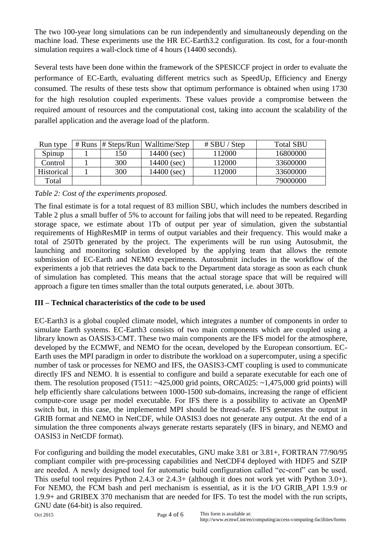The two 100-year long simulations can be run independently and simultaneously depending on the machine load. These experiments use the HR EC-Earth3.2 configuration. Its cost, for a four-month simulation requires a wall-clock time of 4 hours (14400 seconds).

Several tests have been done within the framework of the SPESICCF project in order to evaluate the performance of EC-Earth, evaluating different metrics such as SpeedUp, Efficiency and Energy consumed. The results of these tests show that optimum performance is obtained when using 1730 for the high resolution coupled experiments. These values provide a compromise between the required amount of resources and the computational cost, taking into account the scalability of the parallel application and the average load of the platform.

| Run type          | # Runs $# Steps/Run$ | Walltime/Step | $#$ SBU / Step | <b>Total SBU</b> |
|-------------------|----------------------|---------------|----------------|------------------|
| Spinup            | 150                  | 14400 (sec)   | 112000         | 16800000         |
| Control           | 300                  | 14400 (sec)   | 112000         | 33600000         |
| <b>Historical</b> | 300                  | 14400 (sec)   | 112000         | 33600000         |
| Total             |                      |               |                | 79000000         |

#### *Table 2: Cost of the experiments proposed.*

The final estimate is for a total request of 83 million SBU, which includes the numbers described in Table 2 plus a small buffer of 5% to account for failing jobs that will need to be repeated. Regarding storage space, we estimate about 1Tb of output per year of simulation, given the substantial requirements of HighResMIP in terms of output variables and their frequency. This would make a total of 250Tb generated by the project. The experiments will be run using Autosubmit, the launching and monitoring solution developed by the applying team that allows the remote submission of EC-Earth and NEMO experiments. Autosubmit includes in the workflow of the experiments a job that retrieves the data back to the Department data storage as soon as each chunk of simulation has completed. This means that the actual storage space that will be required will approach a figure ten times smaller than the total outputs generated, i.e. about 30Tb.

### **III – Technical characteristics of the code to be used**

EC-Earth3 is a global coupled climate model, which integrates a number of components in order to simulate Earth systems. EC-Earth3 consists of two main components which are coupled using a library known as OASIS3-CMT. These two main components are the IFS model for the atmosphere, developed by the ECMWF, and NEMO for the ocean, developed by the European consortium. EC-Earth uses the MPI paradigm in order to distribute the workload on a supercomputer, using a specific number of task or processes for NEMO and IFS, the OASIS3-CMT coupling is used to communicate directly IFS and NEMO. It is essential to configure and build a separate executable for each one of them. The resolution proposed  $(T511: ~-425,000$  grid points, ORCA025:  $~-1,475,000$  grid points) will help efficiently share calculations between 1000-1500 sub-domains, increasing the range of efficient compute-core usage per model executable. For IFS there is a possibility to activate an OpenMP switch but, in this case, the implemented MPI should be thread-safe. IFS generates the output in GRIB format and NEMO in NetCDF, while OASIS3 does not generate any output. At the end of a simulation the three components always generate restarts separately (IFS in binary, and NEMO and OASIS3 in NetCDF format).

For configuring and building the model executables, GNU make 3.81 or 3.81+, FORTRAN 77/90/95 compliant compiler with pre-processing capabilities and NetCDF4 deployed with HDF5 and SZIP are needed. A newly designed tool for automatic build configuration called "ec-conf" can be used. This useful tool requires Python 2.4.3 or 2.4.3+ (although it does not work yet with Python 3.0+). For NEMO, the FCM bash and perl mechanism is essential, as it is the I/O GRIB\_API 1.9.9 or 1.9.9+ and GRIBEX 370 mechanism that are needed for IFS. To test the model with the run scripts, GNU date (64-bit) is also required.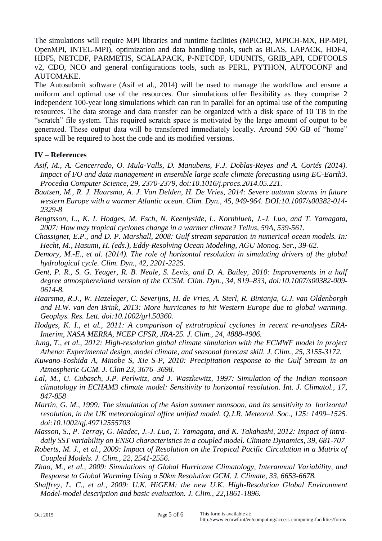The simulations will require MPI libraries and runtime facilities (MPICH2, MPICH-MX, HP-MPI, OpenMPI, INTEL-MPI), optimization and data handling tools, such as BLAS, LAPACK, HDF4, HDF5, NETCDF, PARMETIS, SCALAPACK, P-NETCDF, UDUNITS, GRIB\_API, CDFTOOLS v2, CDO, NCO and general configurations tools, such as PERL, PYTHON, AUTOCONF and AUTOMAKE.

The Autosubmit software (Asif et al., 2014) will be used to manage the workflow and ensure a uniform and optimal use of the resources. Our simulations offer flexibility as they comprise 2 independent 100-year long simulations which can run in parallel for an optimal use of the computing resources. The data storage and data transfer can be organized with a disk space of 10 TB in the "scratch" file system. This required scratch space is motivated by the large amount of output to be generated. These output data will be transferred immediately locally. Around 500 GB of "home" space will be required to host the code and its modified versions.

#### **IV – References**

- *Asif, M., A. Cencerrado, O. Mula-Valls, D. Manubens, F.J. Doblas-Reyes and A. Cortés (2014). Impact of I/O and data management in ensemble large scale climate forecasting using EC-Earth3. Procedia Computer Science, 29, 2370-2379, doi:10.1016/j.procs.2014.05.221.*
- *Baatsen, M., R. J. Haarsma, A. J. Van Delden, H. De Vries, 2014: Severe autumn storms in future western Europe with a warmer Atlantic ocean. Clim. Dyn., 45, 949-964. DOI:10.1007/s00382-014- 2329-8*
- *Bengtsson, L., K. I. Hodges, M. Esch, N. Keenlyside, L. Kornblueh, J.-J. Luo, and T. Yamagata, 2007: How may tropical cyclones change in a warmer climate? Tellus, 59A, 539-561.*
- *Chassignet, E.P., and D. P. Marshall, 2008: Gulf stream separation in numerical ocean models. In: Hecht, M., Hasumi, H. (eds.), Eddy-Resolving Ocean Modeling, AGU Monog. Ser., 39-62.*
- *Demory, M.-E., et al. (2014). The role of horizontal resolution in simulating drivers of the global hydrological cycle. Clim. Dyn., 42, 2201-2225.*
- *Gent, P. R., S. G. Yeager, R. B. Neale, S. Levis, and D. A. Bailey, 2010: Improvements in a half degree atmosphere/land version of the CCSM. Clim. Dyn., 34, 819–833, doi:10.1007/s00382-009- 0614-8.*
- *Haarsma, R.J., W. Hazeleger, C. Severijns, H. de Vries, A. Sterl, R. Bintanja, G.J. van Oldenborgh and H.W. van den Brink, 2013: More hurricanes to hit Western Europe due to global warming. Geophys. Res. Lett. doi:10.1002/grl.50360.*
- *Hodges, K. I., et al., 2011: A comparison of extratropical cyclones in recent re-analyses ERA-Interim, NASA MERRA, NCEP CFSR, JRA-25. J. Clim., 24, 4888-4906.*
- *Jung, T., et al., 2012: High-resolution global climate simulation with the ECMWF model in project Athena: Experimental design, model climate, and seasonal forecast skill. J. Clim., 25, 3155-3172.*
- *Kuwano-Yoshida A, Minobe S, Xie S-P, 2010: Precipitation response to the Gulf Stream in an Atmospheric GCM. J. Clim 23, 3676–3698.*
- *Lal, M., U. Cubasch, J.P. Perlwitz, and J. Waszkewitz, 1997: Simulation of the Indian monsoon climatology in ECHAM3 climate model: Sensitivity to horizontal resolution. Int. J. Climatol., 17, 847-858*
- *Martin, G. M., 1999: The simulation of the Asian summer monsoon, and its sensitivity to horizontal resolution, in the UK meteorological office unified model. Q.J.R. Meteorol. Soc., 125: 1499–1525. doi:10.1002/qj.49712555703*
- *Masson, S., P. Terray, G. Madec, J.-J. Luo, T. Yamagata, and K. Takahashi, 2012: Impact of intradaily SST variability on ENSO characteristics in a coupled model. Climate Dynamics, 39, 681-707*
- *Roberts, M. J., et al., 2009: Impact of Resolution on the Tropical Pacific Circulation in a Matrix of Coupled Models. J. Clim., 22, 2541-2556.*
- *Zhao, M., et al., 2009: Simulations of Global Hurricane Climatology, Interannual Variability, and Response to Global Warming Using a 50km Resolution GCM. J. Climate, 33, 6653-6678.*
- *Shaffrey, L. C., et al., 2009: U.K. HiGEM: the new U.K. High-Resolution Global Environment Model-model description and basic evaluation. J. Clim., 22,1861-1896.*